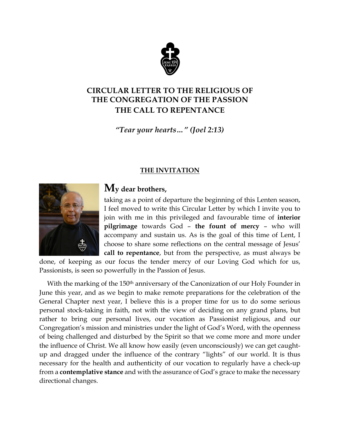

## **CIRCULAR LETTER TO THE RELIGIOUS OF THE CONGREGATION OF THE PASSION THE CALL TO REPENTANCE**

*"Tear your hearts…" (Joel 2:13)*

## **THE INVITATION**



# **My dear brothers,**

taking as a point of departure the beginning of this Lenten season, I feel moved to write this Circular Letter by which I invite you to join with me in this privileged and favourable time of **interior pilgrimage** towards God – **the fount of mercy** – who will accompany and sustain us. As is the goal of this time of Lent, I choose to share some reflections on the central message of Jesus' **call to repentance**, but from the perspective, as must always be

done, of keeping as our focus the tender mercy of our Loving God which for us, Passionists, is seen so powerfully in the Passion of Jesus.

With the marking of the 150<sup>th</sup> anniversary of the Canonization of our Holy Founder in June this year, and as we begin to make remote preparations for the celebration of the General Chapter next year, I believe this is a proper time for us to do some serious personal stock-taking in faith, not with the view of deciding on any grand plans, but rather to bring our personal lives, our vocation as Passionist religious, and our Congregation's mission and ministries under the light of God's Word, with the openness of being challenged and disturbed by the Spirit so that we come more and more under the influence of Christ. We all know how easily (even unconsciously) we can get caughtup and dragged under the influence of the contrary "lights" of our world. It is thus necessary for the health and authenticity of our vocation to regularly have a check-up from a **contemplative stance** and with the assurance of God's grace to make the necessary directional changes.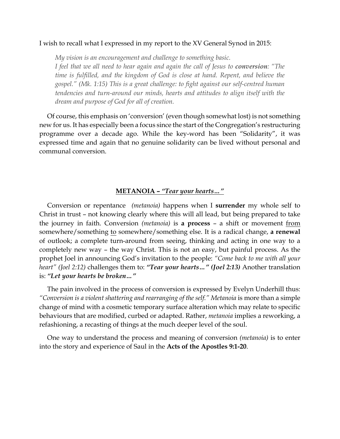#### I wish to recall what I expressed in my report to the XV General Synod in 2015:

*My vision is an encouragement and challenge to something basic.*

*I feel that we all need to hear again and again the call of Jesus to conversion: "The time is fulfilled, and the kingdom of God is close at hand. Repent, and believe the gospel." (Mk. 1:15) This is a great challenge: to fight against our self-centred human tendencies and turn-around our minds, hearts and attitudes to align itself with the dream and purpose of God for all of creation.*

Of course, this emphasis on 'conversion' (even though somewhat lost) is not something new for us. It has especially been a focus since the start of the Congregation's restructuring programme over a decade ago. While the key-word has been "Solidarity", it was expressed time and again that no genuine solidarity can be lived without personal and communal conversion.

#### **METANOIA –** *"Tear your hearts…"*

Conversion or repentance *(metanoia)* happens when I **surrender** my whole self to Christ in trust – not knowing clearly where this will all lead, but being prepared to take the journey in faith. Conversion *(metanoia)* is **a process** – a shift or movement from somewhere/something to somewhere/something else. It is a radical change, **a renewal** of outlook; a complete turn-around from seeing, thinking and acting in one way to a completely new way – the way Christ. This is not an easy, but painful process. As the prophet Joel in announcing God's invitation to the people: *"Come back to me with all your heart" (Joel 2:12)* challenges them to: *"Tear your hearts…" (Joel 2:13)* Another translation is: *"Let your hearts be broken…"*

The pain involved in the process of conversion is expressed by Evelyn Underhill thus: *"Conversion is a violent shattering and rearranging of the self." Metanoia* is more than a simple change of mind with a cosmetic temporary surface alteration which may relate to specific behaviours that are modified, curbed or adapted. Rather, *metanoia* implies a reworking, a refashioning, a recasting of things at the much deeper level of the soul.

One way to understand the process and meaning of conversion *(metanoia)* is to enter into the story and experience of Saul in the **Acts of the Apostles 9:1-20**.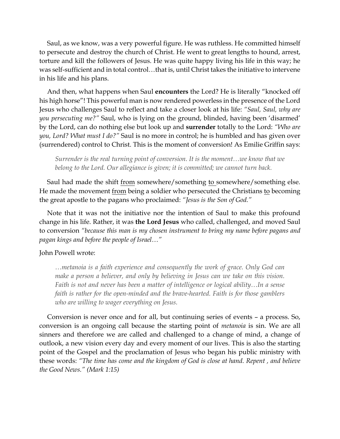Saul, as we know, was a very powerful figure. He was ruthless. He committed himself to persecute and destroy the church of Christ. He went to great lengths to hound, arrest, torture and kill the followers of Jesus. He was quite happy living his life in this way; he was self-sufficient and in total control…that is, until Christ takes the initiative to intervene in his life and his plans.

And then, what happens when Saul **encounters** the Lord? He is literally "knocked off his high horse"! This powerful man is now rendered powerless in the presence of the Lord Jesus who challenges Saul to reflect and take a closer look at his life: *"Saul, Saul, why are you persecuting me?"* Saul, who is lying on the ground, blinded, having been 'disarmed' by the Lord, can do nothing else but look up and **surrender** totally to the Lord: *"Who are you, Lord? What must I do?"* Saul is no more in control; he is humbled and has given over (surrendered) control to Christ. This is the moment of conversion! As Emilie Griffin says:

*Surrender is the real turning point of conversion. It is the moment…we know that we belong to the Lord. Our allegiance is given; it is committed; we cannot turn back.*

Saul had made the shift <u>from</u> somewhere/something to somewhere/something else. He made the movement from being a soldier who persecuted the Christians to becoming the great apostle to the pagans who proclaimed: *"Jesus is the Son of God."*

Note that it was not the initiative nor the intention of Saul to make this profound change in his life. Rather, it was **the Lord Jesus** who called, challenged, and moved Saul to conversion *"because this man is my chosen instrument to bring my name before pagans and pagan kings and before the people of Israel…"*

#### John Powell wrote:

*…metanoia is a faith experience and consequently the work of grace. Only God can make a person a believer, and only by believing in Jesus can we take on this vision. Faith is not and never has been a matter of intelligence or logical ability…In a sense faith is rather for the open-minded and the brave-hearted. Faith is for those gamblers who are willing to wager everything on Jesus.*

Conversion is never once and for all, but continuing series of events – a process. So, conversion is an ongoing call because the starting point of *metanoia* is sin. We are all sinners and therefore we are called and challenged to a change of mind, a change of outlook, a new vision every day and every moment of our lives. This is also the starting point of the Gospel and the proclamation of Jesus who began his public ministry with these words: *"The time has come and the kingdom of God is close at hand. Repent , and believe the Good News." (Mark 1:15)*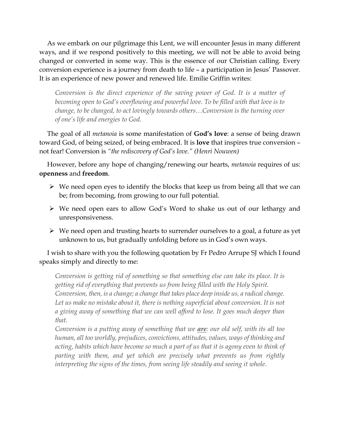As we embark on our pilgrimage this Lent, we will encounter Jesus in many different ways, and if we respond positively to this meeting, we will not be able to avoid being changed or converted in some way. This is the essence of our Christian calling. Every conversion experience is a journey from death to life – a participation in Jesus' Passover. It is an experience of new power and renewed life. Emilie Griffin writes:

*Conversion is the direct experience of the saving power of God. It is a matter of becoming open to God's overflowing and powerful love. To be filled with that love is to change, to be changed, to act lovingly towards others…Conversion is the turning over of one's life and energies to God.*

The goal of all *metanoia* is some manifestation of **God's love**: a sense of being drawn toward God, of being seized, of being embraced. It is **love** that inspires true conversion – not fear! Conversion is *"the rediscovery of God's love." (Henri Nouwen)*

However, before any hope of changing/renewing our hearts, *metanoia* requires of us: **openness** and **freedom**.

- $\triangleright$  We need open eyes to identify the blocks that keep us from being all that we can be; from becoming, from growing to our full potential.
- Ø We need open ears to allow God's Word to shake us out of our lethargy and unresponsiveness.
- $\triangleright$  We need open and trusting hearts to surrender ourselves to a goal, a future as yet unknown to us, but gradually unfolding before us in God's own ways.

I wish to share with you the following quotation by Fr Pedro Arrupe SJ which I found speaks simply and directly to me:

*Conversion is getting rid of something so that something else can take its place. It is getting rid of everything that prevents us from being filled with the Holy Spirit. Conversion, then, is a change; a change that takes place deep inside us, a radical change.*  Let us make no mistake about it, there is nothing superficial about conversion. It is not *a giving away of something that we can well afford to lose. It goes much deeper than that.*

*Conversion is a putting away of something that we are: our old self, with its all too human, all too worldly, prejudices, convictions, attitudes, values, ways of thinking and acting, habits which have become so much a part of us that it is agony even to think of parting with them, and yet which are precisely what prevents us from rightly interpreting the signs of the times, from seeing life steadily and seeing it whole.*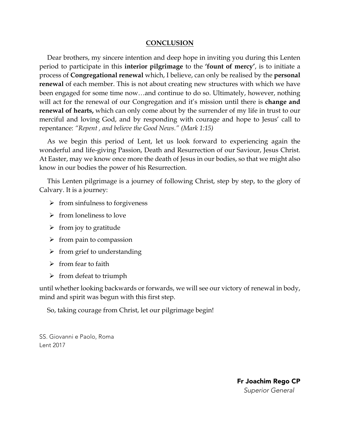#### **CONCLUSION**

Dear brothers, my sincere intention and deep hope in inviting you during this Lenten period to participate in this **interior pilgrimage** to the **'fount of mercy'**, is to initiate a process of **Congregational renewal** which, I believe, can only be realised by the **personal renewal** of each member. This is not about creating new structures with which we have been engaged for some time now…and continue to do so. Ultimately, however, nothing will act for the renewal of our Congregation and it's mission until there is **change and renewal of hearts,** which can only come about by the surrender of my life in trust to our merciful and loving God, and by responding with courage and hope to Jesus' call to repentance: *"Repent , and believe the Good News." (Mark 1:15)*

As we begin this period of Lent, let us look forward to experiencing again the wonderful and life-giving Passion, Death and Resurrection of our Saviour, Jesus Christ. At Easter, may we know once more the death of Jesus in our bodies, so that we might also know in our bodies the power of his Resurrection.

This Lenten pilgrimage is a journey of following Christ, step by step, to the glory of Calvary. It is a journey:

- $\triangleright$  from sinfulness to forgiveness
- $\triangleright$  from loneliness to love
- $\triangleright$  from joy to gratitude
- $\triangleright$  from pain to compassion
- $\triangleright$  from grief to understanding
- $\triangleright$  from fear to faith
- $\triangleright$  from defeat to triumph

until whether looking backwards or forwards, we will see our victory of renewal in body, mind and spirit was begun with this first step.

So, taking courage from Christ, let our pilgrimage begin!

SS. Giovanni e Paolo, Roma Lent 2017

> Fr Joachim Rego CP  *Superior General*